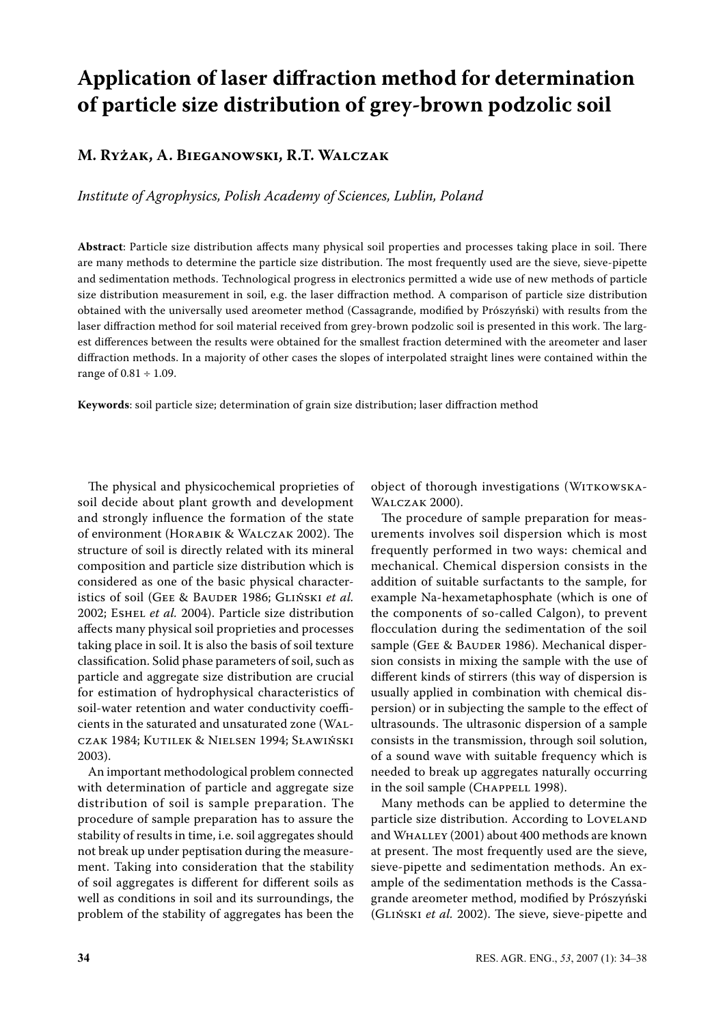# **Application of laser diffraction method for determination of particle size distribution of grey-brown podzolic soil**

## **M. Ryżak, A. Bieganowski, R.T. Walczak**

*Institute of Agrophysics, Polish Academy of Sciences, Lublin, Poland*

**Abstract**: Particle size distribution affects many physical soil properties and processes taking place in soil. There are many methods to determine the particle size distribution. The most frequently used are the sieve, sieve-pipette and sedimentation methods. Technological progress in electronics permitted a wide use of new methods of particle size distribution measurement in soil, e.g. the laser diffraction method. A comparison of particle size distribution obtained with the universally used areometer method (Cassagrande, modified by Prószyński) with results from the laser diffraction method for soil material received from grey-brown podzolic soil is presented in this work. The largest differences between the results were obtained for the smallest fraction determined with the areometer and laser diffraction methods. In a majority of other cases the slopes of interpolated straight lines were contained within the range of 0.81 ÷ 1.09.

**Keywords**: soil particle size; determination of grain size distribution; laser diffraction method

The physical and physicochemical proprieties of soil decide about plant growth and development and strongly influence the formation of the state of environment (Horabik & Walczak 2002). The structure of soil is directly related with its mineral composition and particle size distribution which is considered as one of the basic physical characteristics of soil (Gee & Bauder 1986; Gliński *et al.* 2002; Eshel *et al.* 2004). Particle size distribution affects many physical soil proprieties and processes taking place in soil. It is also the basis of soil texture classification. Solid phase parameters of soil, such as particle and aggregate size distribution are crucial for estimation of hydrophysical characteristics of soil-water retention and water conductivity coefficients in the saturated and unsaturated zone (Walczak 1984; Kutilek & Nielsen 1994; Sławiński 2003).

An important methodological problem connected with determination of particle and aggregate size distribution of soil is sample preparation. The procedure of sample preparation has to assure the stability of results in time, i.e. soil aggregates should not break up under peptisation during the measurement. Taking into consideration that the stability of soil aggregates is different for different soils as well as conditions in soil and its surroundings, the problem of the stability of aggregates has been the object of thorough investigations (WITKOWSKA-Walczak 2000).

The procedure of sample preparation for measurements involves soil dispersion which is most frequently performed in two ways: chemical and mechanical. Chemical dispersion consists in the addition of suitable surfactants to the sample, for example Na-hexametaphosphate (which is one of the components of so-called Calgon), to prevent flocculation during the sedimentation of the soil sample (GEE & BAUDER 1986). Mechanical dispersion consists in mixing the sample with the use of different kinds of stirrers (this way of dispersion is usually applied in combination with chemical dispersion) or in subjecting the sample to the effect of ultrasounds. The ultrasonic dispersion of a sample consists in the transmission, through soil solution, of a sound wave with suitable frequency which is needed to break up aggregates naturally occurring in the soil sample (CHAPPELL 1998).

Many methods can be applied to determine the particle size distribution. According to LOVELAND and WHALLEY (2001) about 400 methods are known at present. The most frequently used are the sieve, sieve-pipette and sedimentation methods. An example of the sedimentation methods is the Cassagrande areometer method, modified by Prószyński (Gliński *et al.* 2002). The sieve, sieve-pipette and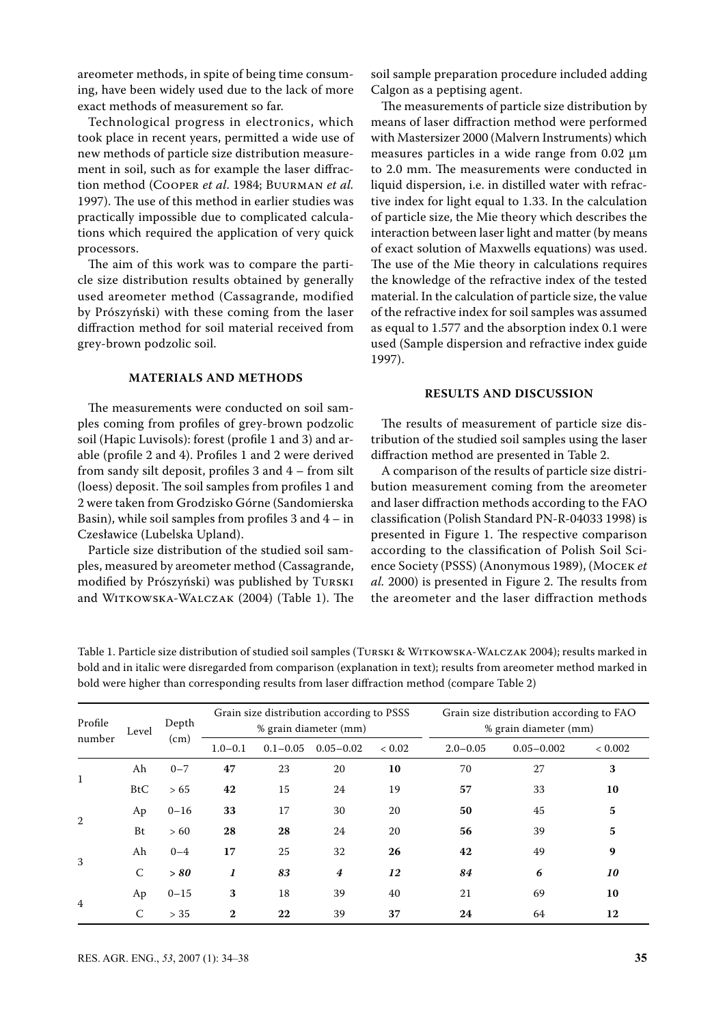areometer methods, in spite of being time consuming, have been widely used due to the lack of more exact methods of measurement so far.

Technological progress in electronics, which took place in recent years, permitted a wide use of new methods of particle size distribution measurement in soil, such as for example the laser diffraction method (Cooper *et al*. 1984; Buurman *et al.* 1997). The use of this method in earlier studies was practically impossible due to complicated calculations which required the application of very quick processors.

The aim of this work was to compare the particle size distribution results obtained by generally used areometer method (Cassagrande, modified by Prószyński) with these coming from the laser diffraction method for soil material received from grey-brown podzolic soil.

### **Materials and methods**

The measurements were conducted on soil samples coming from profiles of grey-brown podzolic soil (Hapic Luvisols): forest (profile 1 and 3) and arable (profile 2 and 4). Profiles 1 and 2 were derived from sandy silt deposit, profiles 3 and 4 – from silt (loess) deposit. The soil samples from profiles 1 and 2 were taken from Grodzisko Górne (Sandomierska Basin), while soil samples from profiles  $3$  and  $4 - in$ Czesławice (Lubelska Upland).

Particle size distribution of the studied soil samples, measured by areometer method (Cassagrande, modified by Prószyński) was published by Turski and Witkowska-Walczak (2004) (Table 1). The soil sample preparation procedure included adding Calgon as a peptising agent.

The measurements of particle size distribution by means of laser diffraction method were performed with Mastersizer 2000 (Malvern Instruments) which measures particles in a wide range from 0.02 µm to 2.0 mm. The measurements were conducted in liquid dispersion, i.e. in distilled water with refractive index for light equal to 1.33. In the calculation of particle size, the Mie theory which describes the interaction between laser light and matter (by means of exact solution of Maxwells equations) was used. The use of the Mie theory in calculations requires the knowledge of the refractive index of the tested material. In the calculation of particle size, the value of the refractive index for soil samples was assumed as equal to 1.577 and the absorption index 0.1 were used (Sample dispersion and refractive index guide 1997).

#### **Results and discussion**

The results of measurement of particle size distribution of the studied soil samples using the laser diffraction method are presented in Table 2.

A comparison of the results of particle size distribution measurement coming from the areometer and laser diffraction methods according to the FAO classification (Polish Standard PN-R-04033 1998) is presented in Figure 1. The respective comparison according to the classification of Polish Soil Science Society (PSSS) (Anonymous 1989), (Mocek *et al.* 2000) is presented in Figure 2. The results from the areometer and the laser diffraction methods

Table 1. Particle size distribution of studied soil samples (Turski & Witkowska-Walczak 2004); results marked in bold and in italic were disregarded from comparison (explanation in text); results from areometer method marked in bold were higher than corresponding results from laser diffraction method (compare Table 2)

| Profile<br>number | Level | Depth<br>(cm) | Grain size distribution according to PSSS<br>% grain diameter (mm) |    |                  |    | Grain size distribution according to FAO<br>% grain diameter (mm) |    |    |
|-------------------|-------|---------------|--------------------------------------------------------------------|----|------------------|----|-------------------------------------------------------------------|----|----|
|                   |       |               |                                                                    |    |                  |    |                                                                   |    |    |
|                   |       |               | $\mathbf{1}$                                                       | Ah | $0 - 7$          | 47 | 23                                                                | 20 | 10 |
| <b>BtC</b>        | > 65  | 42            |                                                                    | 15 | 24               | 19 | 57                                                                | 33 | 10 |
| 2                 | Ap    | $0 - 16$      | 33                                                                 | 17 | 30               | 20 | 50                                                                | 45 | 5  |
|                   | Bt    | > 60          | 28                                                                 | 28 | 24               | 20 | 56                                                                | 39 | 5  |
| 3                 | Ah    | $0 - 4$       | 17                                                                 | 25 | 32               | 26 | 42                                                                | 49 | 9  |
|                   | C     | > 80          | 1                                                                  | 83 | $\boldsymbol{4}$ | 12 | 84                                                                | 6  | 10 |
| $\overline{4}$    | Ap    | $0 - 15$      | 3                                                                  | 18 | 39               | 40 | 21                                                                | 69 | 10 |
|                   | C     | > 35          | $\mathbf{2}$                                                       | 22 | 39               | 37 | 24                                                                | 64 | 12 |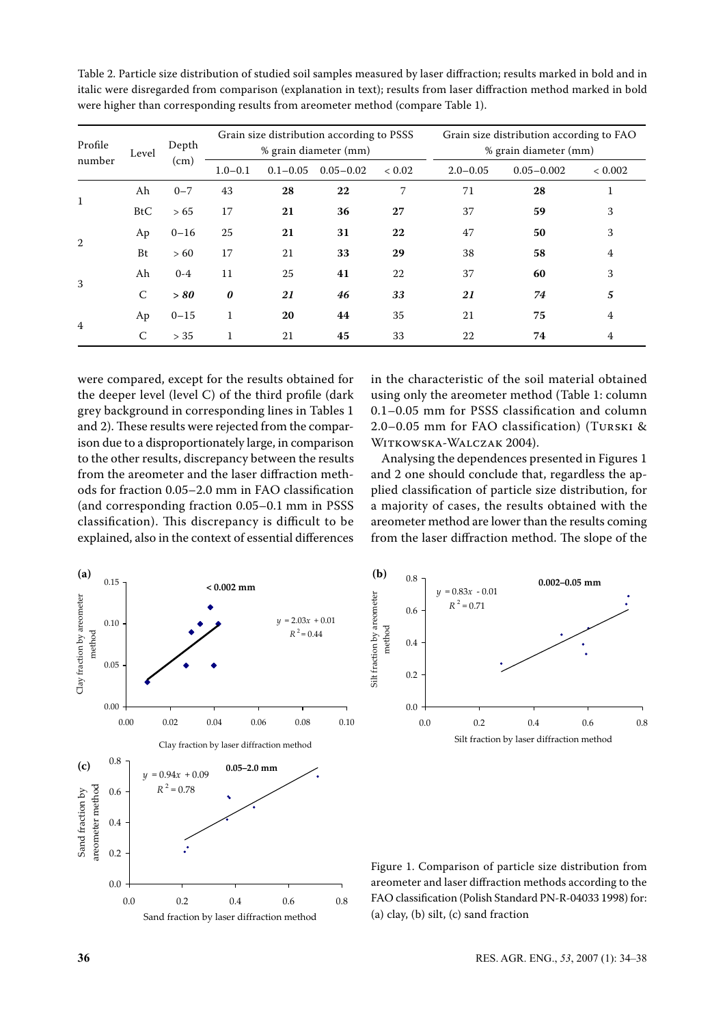| Profile<br>number | Level      | Depth<br>(cm) | Grain size distribution according to PSSS<br>% grain diameter (mm) |              |               |            | Grain size distribution according to FAO<br>% grain diameter (mm) |                |                |
|-------------------|------------|---------------|--------------------------------------------------------------------|--------------|---------------|------------|-------------------------------------------------------------------|----------------|----------------|
|                   |            |               | $1.0 - 0.1$                                                        | $0.1 - 0.05$ | $0.05 - 0.02$ | ${}< 0.02$ | $2.0 - 0.05$                                                      | $0.05 - 0.002$ | < 0.002        |
| 1                 | Ah         | $0 - 7$       | 43                                                                 | 28           | 22            | 7          | 71                                                                | 28             | 1              |
|                   | <b>BtC</b> | > 65          | 17                                                                 | 21           | 36            | 27         | 37                                                                | 59             | 3              |
| 2                 | Ap         | $0 - 16$      | 25                                                                 | 21           | 31            | 22         | 47                                                                | 50             | 3              |
|                   | Bt         | >60           | 17                                                                 | 21           | 33            | 29         | 38                                                                | 58             | 4              |
| 3                 | Ah         | $0 - 4$       | 11                                                                 | 25           | 41            | 22         | 37                                                                | 60             | 3              |
|                   | C          | > 80          | $\boldsymbol{\theta}$                                              | 21           | 46            | 33         | 21                                                                | 74             | 5              |
| $\overline{4}$    | Ap         | $0 - 15$      | 1                                                                  | 20           | 44            | 35         | 21                                                                | 75             | $\overline{4}$ |
|                   | C          | > 35          |                                                                    | 21           | 45            | 33         | 22                                                                | 74             | 4              |

Table 2. Particle size distribution of studied soil samples measured by laser diffraction; results marked in bold and in italic were disregarded from comparison (explanation in text); results from laser diffraction method marked in bold were higher than corresponding results from areometer method (compare Table 1).

were compared, except for the results obtained for the deeper level (level C) of the third profile (dark grey background in corresponding lines in Tables 1 and 2). These results were rejected from the comparison due to a disproportionately large, in comparison to the other results, discrepancy between the results from the areometer and the laser diffraction methods for fraction 0.05–2.0 mm in FAO classification (and corresponding fraction 0.05–0.1 mm in PSSS classification). This discrepancy is difficult to be explained, also in the context of essential differences in the characteristic of the soil material obtained using only the areometer method (Table 1: column 0.1–0.05 mm for PSSS classification and column 2.0–0.05 mm for FAO classification) (Turski & Witkowska-Walczak 2004).

Analysing the dependences presented in Figures 1 and 2 one should conclude that, regardless the applied classification of particle size distribution, for a majority of cases, the results obtained with the areometer method are lower than the results coming from the laser diffraction method. The slope of the





Figure 1. Comparison of particle size distribution from areometer and laser diffraction methods according to the FAO classification (Polish Standard PN-R-04033 1998) for: (a) clay, (b) silt, (c) sand fraction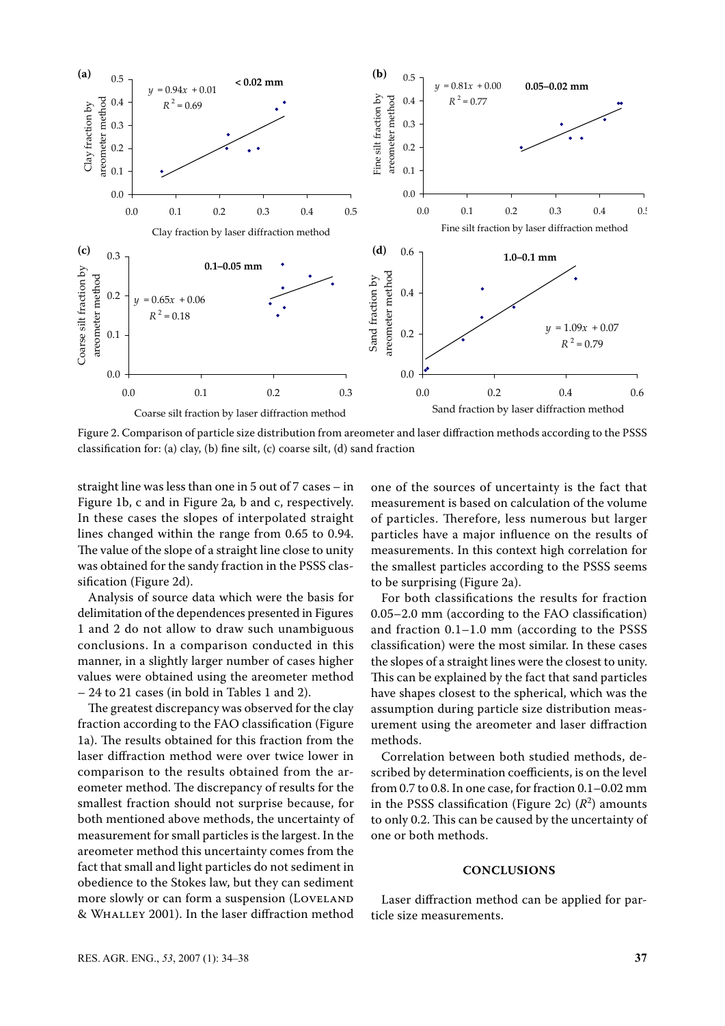

Figure 2. Comparison of particle size distribution from areometer and laser diffraction methods according to the PSSS classification for: (a) clay, (b) fine silt, (c) coarse silt, (d) sand fraction

straight line was less than one in 5 out of 7 cases – in Figure 1b, c and in Figure 2a*,* b and c, respectively. In these cases the slopes of interpolated straight lines changed within the range from 0.65 to 0.94. The value of the slope of a straight line close to unity was obtained for the sandy fraction in the PSSS classification (Figure 2d).

Analysis of source data which were the basis for delimitation of the dependences presented in Figures 1 and 2 do not allow to draw such unambiguous conclusions. In a comparison conducted in this manner, in a slightly larger number of cases higher values were obtained using the areometer method – 24 to 21 cases (in bold in Tables 1 and 2).

The greatest discrepancy was observed for the clay fraction according to the FAO classification (Figure 1a). The results obtained for this fraction from the laser diffraction method were over twice lower in comparison to the results obtained from the areometer method. The discrepancy of results for the smallest fraction should not surprise because, for both mentioned above methods, the uncertainty of measurement for small particles is the largest. In the areometer method this uncertainty comes from the fact that small and light particles do not sediment in obedience to the Stokes law, but they can sediment more slowly or can form a suspension (LOVELAND & Whalley 2001). In the laser diffraction method

one of the sources of uncertainty is the fact that measurement is based on calculation of the volume of particles. Therefore, less numerous but larger particles have a major influence on the results of measurements. In this context high correlation for the smallest particles according to the PSSS seems to be surprising (Figure 2a).

For both classifications the results for fraction 0.05–2.0 mm (according to the FAO classification) and fraction 0.1–1.0 mm (according to the PSSS classification) were the most similar. In these cases the slopes of a straight lines were the closest to unity. This can be explained by the fact that sand particles have shapes closest to the spherical, which was the assumption during particle size distribution measurement using the areometer and laser diffraction methods.

Correlation between both studied methods, described by determination coefficients, is on the level from 0.7 to 0.8. In one case, for fraction 0.1–0.02 mm in the PSSS classification (Figure 2c)  $(R^2)$  amounts to only 0.2. This can be caused by the uncertainty of one or both methods.

#### **Conclusions**

Laser diffraction method can be applied for particle size measurements.